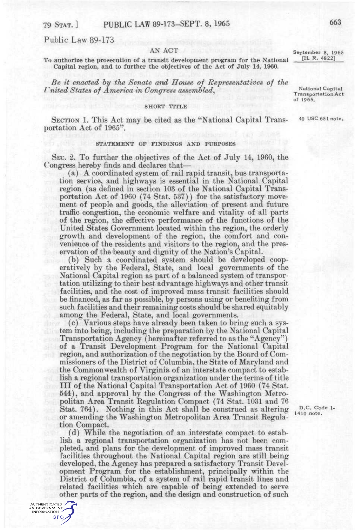# Public Law 89-173

AUTHENTICATED U.S. GOVERNMENT GPO

AN ACT<br>september 8, 1965<br>regnati development program for the National [H, R, 4822] To authorize the prosecution of a transit development program for the National Capital region, and to further the objectives of the Act of July 14, 1960.

*Be it enacted hy the Senate and House of Representatives of the I* nited States of America in Congress assembled, National Capital Transportation Act

## SHORT TITLE

SECTION 1. This Act may be cited as the "National Capital Trans- 40 USC 651 note. portation Act of 1965".

# STATEMENT OF FINDINGS AND PURPOSES

SEC. 2. To further the objectives of the Act of July 14, 1960, the Congress hereby finds and declares that—

(a) A coordinated system of rail rapid transit, bus transportation service, and highways is essential in the National Capital region (as defined in section 103 of the National Capital Transportation Act of 1960 (74 Stat. 537)) for the satisfactory movement of people and goods, the alleviation of present and future traffic congestion, the economic welfare and vitality of all parts of the region, the effective performance of the functions of the United States Government located within the region, the orderly growth and development of the region, the comfort and convenience of the residents and visitors to the region, and the preservation of the beauty and dignity of the Nation's Capital.

(b) Such a coordinated system should be developed cooperatively by the Federal, State, and local governments of the National Capital region as part of a balanced system of transportation utilizing to their best advantage highways and other transit facilities, and the cost of improved mass transit facilities should be financed, as far as possible, by persons using or benefiting from such facilities and their remaining costs should be shared equitably among the Federal, State, and local governments.

(c) Various steps have already been taken to bring such a system into being, including the preparation by the National Capital Transportation Agency (hereinafter referred to as the "Agency") of a Transit Development Program for the National Capital region, and authorization of the negotiation by the Board of Commissioners of the District of Columbia, the State of Maryland and the Commonwealth of Virginia of an interstate compact to establish a regional transportation organization under the terms of title I I I of the National Capital Transportation Act of 1960 (74 Stat. 544), and approval by the Congress of the Washington Metropolitan Area Transit Regulation Compact (74 Stat. 1031 and 76 Stat. 764). Nothing in this Act shall be construed as altering or amending the Washington Metropolitan Area Transit Regulation Compact.

(d) While the negotiation of an interstate compact to establish a regional transportation organization has not been completed, and plans for the development of improved mass transit facilities throughout the National Capital region are still being developed, the Agency has prepared a satisfactory Transit Development Program for the establishment, principally within the District of Columbia, of a system of rail rapid transit lines and related facilities which are capable of being extended to serve other parts of the region, and the design and construction of such

D,C. Code 1- 1410 note.

<sup>1</sup> **i7 1965.**  *i7 1965* of 1965.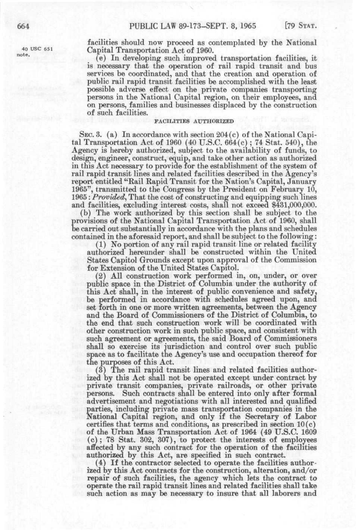note.

facilities should now proceed as contemplated by the National 40 use 651 Capital Transportation Act of 1960.

> (e) In developing such improved transportation facilities, it is necessary that the operation of rail rapid transit and bus services be coordinated, and that the creation and operation of public rail rapid transit facilities be accomplished with the least possible adverse effect on the private companies transporting persons in the National Capital region, on their employees, and on persons, families and businesses displaced by the construction of such facilities.

# FACILITIES AUTHORIZED

SEC. 3. (a) In accordance with section 204(c) of the National Capital Transportation Act of 1960 (40 U.S.C. 664(c) ; 74 Stat. 540), the Agency is hereby authorized, subject to the availability of funds, to design, engineer, construct, equip, and take other action as authorized in this Act necessary to provide for the establishment of the system of rail rapid transit lines and related facilities described in the Agency's report entitled "Rail Rapid Transit for the Nation's Capital, January 1965", transmitted to the Congress by the President on February 10, 1965: *Provided^* That the cost of constructing and equipping such lines and facilities, excluding interest costs, shall not exceed \$431,000,000.

(b) The work authorized by this section shall be subject to the provisions of the National Capital Transportation Act of 1960, shall be carried out substantially in accordance with the plans and schedules contained in the aforesaid report, and shall be subject to the following:

(1) No portion of any rail rapid transit line or related facility authorized hereunder shall be constructed within the United States Capitol Grounds except upon approval of the Commission for Extension of the United States Capitol.

(2) All construction work performed in, on, under, or over public space in the District of Columbia under the authority of this Act shall, in the interest of public convenience and safety, be performed in accordance with schedules agreed upon, and set forth in one or more written agreements, between the Agency and the Board of Commissioners of the District of Columbia, to the end that such construction work will be coordinated with other construction work in such public space, and consistent with such agreement or agreements, the said Board of Commissioners shall so exercise its jurisdiction and control over such public space as to facilitate the Agency's use and occupation thereof for the purposes of this Act.

(3) The rail rapid transit lines and related facilities authorized by this Act shall not be operated except under contract by private transit companies, private railroads, or other private persons. Such contracts shall be entered into only after formal advertisement and negotiations with all interested and qualified parties, including private mass transportation companies in the National Capital region, and only if the Secretary of Labor certifies that terms and conditions, as prescribed in section 10(c) of the Urban Mass Transportation Act of 1964 (49 U.S.C. 1609 (c); 78 Stat. 302, 307), to protect the interests of employees affected by any such contract for the operation of the facilities authorized by this Act, are specified in such contract.

(4) If the contractor selected to operate the facilities authorized by this Act contracts for the construction, alteration, and/or repair of such facilities, the agency which lets the contract to operate the rail rapid transit lines and related facilities shall take such action as may be necessary to insure that all laborers and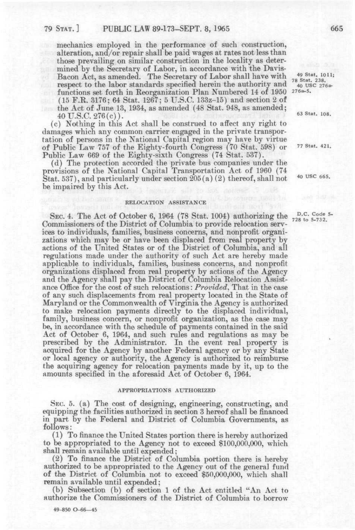mechanics employed in the performance of such construction, alteration, and/or repair shall be paid wages at rates not less than those prevailing on similar construction in the locality as determined by the Secretary of Labor, in accordance with the Davis-Bacon Act, as amended. The Secretary of Labor shall have with  $^{49 \text{ Stat. }1011;}_{78 \text{ Stat. }238;}$ <br>respect to the labor standards specified herein the authority and  $^{78 \text{ Stat. }238;}_{40 \text{ USC. }276}$ respect to the labor standards specified herein the authority and  $\frac{78}{40}$  us<br>functions set forth in Reorganization Plan Numbered 14 of 1950 276a-5. functions set forth in Reorganization Plan Numbered 14 of 1950 (15 F.R. 3176; 64 Stat. 1267; 5 U.S.C. 133z-15) and section 2 of the Act of June 13, 1934, as amended (48 Stat. 948, as amended;  $40 \text{ U.S.C. } 276(c)$ .  $63 \text{ Stat. } 108$ .

(c) Nothing in this Act shall be construed to affect any right to damages which any common carrier engaged in the private transportation of persons in the National Capital region may have by virtue of Public Law 757 of the Eighty-fourth Congress (70 Stat. 598) or 77 Stat. 421. Public Law 669 of the Eighty-sixth Congress (74 Stat. 537).

(d) The protection accorded the private bus companies under the provisions of the National Capital Transportation Act of 1960 (74 Stat. 537), and particularly under section 205(a) (2) thereof, shall not be impaired by this Act.

## RELOCATION ASSISTANCE

SEC. 4. The Act of October 6, 1964 (78 Stat. 1004) authorizing the <sup>D.C. Code 5</sup> Commissioners of the District of Columbia to provide relocation services to individuals, families, business concerns, and nonprofit organizations which may be or have been displaced from real property by actions of the United States or of the District of Columbia, and all regulations made under the authority of such Act are hereby made applicable to individuals, families, business concerns, and nonprofit organizations displaced from real property by actions of the Agency and the Agency shall pay the District of Columbia Relocation Assistance Office for the cost 01 such relocations: *Provided,* That in the case of any such displacements from real property located in the State of Maryland or the Commonwealth of Virginia the Agency is authorized to make relocation payments directly to the displaced individual, family, business concern, or nonprofit organization, as the case may be, in accordance with the schedule of payments contained in the said Act of October 6, 1964, and such rules and regulations as may be prescribed by the Administrator. In the event real property is acquired for the Agency by another Federal agency or by any State or local agency or authority, the Agency is authorized to reimburse the acquiring agency for relocation payments made by it, up to the amounts specified in the aforesaid Act of October 6, 1964.

## APPROPRIATIONS AUTHORIZED

SEC. 5. (a) The cost of designing, engineering, constructing, and equipping the facilities authorized in section 3 hereof shall be financed in part by the Federal and District of Columbia Governments, as follows:

(1) To finance the United States portion there is hereby authorized to be appropriated to the Agency not to exceed \$100,000,000, which shall remain available until expended;

(2) To finance the District of Columbia portion there is hereby authorized to be appropriated to the Agency out of the general fund of the District of Columbia not to exceed \$50,000,000, which shall remain available until expended;

(b) Subsection (b) of section 1 of the Act entitled "An Act to authorize the Commissioners of the District of Columbia to borrow

49-850 0-66—45

40 USC 665.